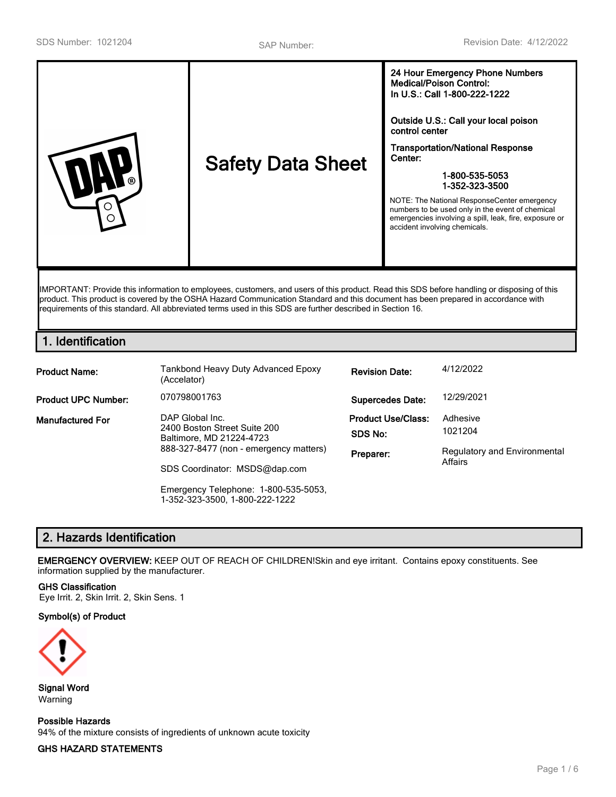| <b>Safety Data Sheet</b><br>∩ | 24 Hour Emergency Phone Numbers<br><b>Medical/Poison Control:</b><br>In U.S.: Call 1-800-222-1222<br>Outside U.S.: Call your local poison<br>control center<br><b>Transportation/National Response</b><br>Center:<br>1-800-535-5053<br>1-352-323-3500<br>NOTE: The National ResponseCenter emergency<br>numbers to be used only in the event of chemical<br>emergencies involving a spill, leak, fire, exposure or<br>accident involving chemicals. |
|-------------------------------|-----------------------------------------------------------------------------------------------------------------------------------------------------------------------------------------------------------------------------------------------------------------------------------------------------------------------------------------------------------------------------------------------------------------------------------------------------|
|-------------------------------|-----------------------------------------------------------------------------------------------------------------------------------------------------------------------------------------------------------------------------------------------------------------------------------------------------------------------------------------------------------------------------------------------------------------------------------------------------|

IMPORTANT: Provide this information to employees, customers, and users of this product. Read this SDS before handling or disposing of this product. This product is covered by the OSHA Hazard Communication Standard and this document has been prepared in accordance with requirements of this standard. All abbreviated terms used in this SDS are further described in Section 16.

## **1. Identification**

| <b>Product Name:</b>       | Tankbond Heavy Duty Advanced Epoxy<br>(Accelator)                                                                     | <b>Revision Date:</b>                             | 4/12/2022                                                  |  |
|----------------------------|-----------------------------------------------------------------------------------------------------------------------|---------------------------------------------------|------------------------------------------------------------|--|
| <b>Product UPC Number:</b> | 070798001763                                                                                                          | <b>Supercedes Date:</b>                           | 12/29/2021                                                 |  |
| <b>Manufactured For</b>    | DAP Global Inc.<br>2400 Boston Street Suite 200<br>Baltimore, MD 21224-4723<br>888-327-8477 (non - emergency matters) | <b>Product Use/Class:</b><br>SDS No:<br>Preparer: | Adhesive<br>1021204<br><b>Regulatory and Environmental</b> |  |
|                            | SDS Coordinator: MSDS@dap.com                                                                                         |                                                   | Affairs                                                    |  |
|                            | Emergency Telephone: 1-800-535-5053,<br>1-352-323-3500, 1-800-222-1222                                                |                                                   |                                                            |  |

# **2. Hazards Identification**

**EMERGENCY OVERVIEW:** KEEP OUT OF REACH OF CHILDREN!Skin and eye irritant. Contains epoxy constituents. See information supplied by the manufacturer.

#### **GHS Classification**

Eye Irrit. 2, Skin Irrit. 2, Skin Sens. 1

#### **Symbol(s) of Product**



**Signal Word** Warning

**Possible Hazards** 94% of the mixture consists of ingredients of unknown acute toxicity

### **GHS HAZARD STATEMENTS**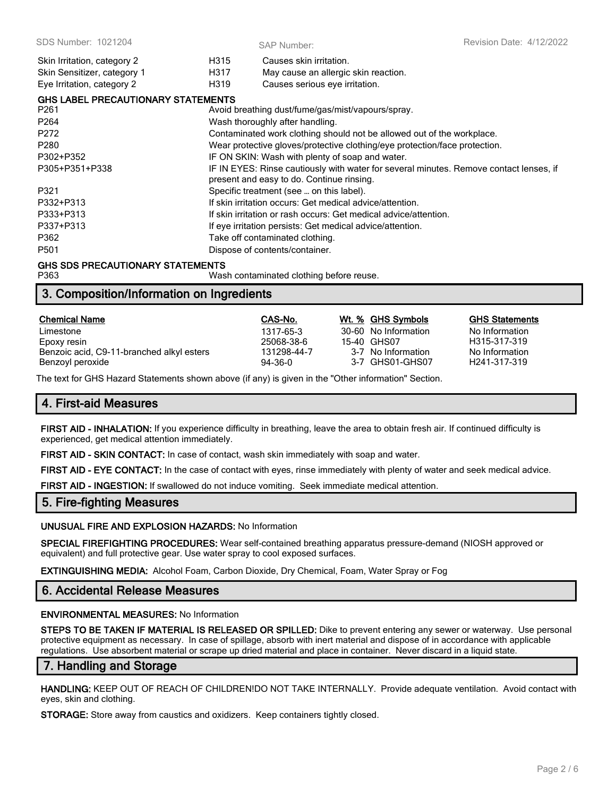| Skin Irritation, category 2               | H315 | Causes skin irritation.                                                                                                             |
|-------------------------------------------|------|-------------------------------------------------------------------------------------------------------------------------------------|
| Skin Sensitizer, category 1               | H317 | May cause an allergic skin reaction.                                                                                                |
| Eye Irritation, category 2                | H319 | Causes serious eye irritation.                                                                                                      |
| <b>GHS LABEL PRECAUTIONARY STATEMENTS</b> |      |                                                                                                                                     |
| P <sub>261</sub>                          |      | Avoid breathing dust/fume/gas/mist/vapours/spray.                                                                                   |
| P <sub>264</sub>                          |      | Wash thoroughly after handling.                                                                                                     |
| P272                                      |      | Contaminated work clothing should not be allowed out of the workplace.                                                              |
| P <sub>280</sub>                          |      | Wear protective gloves/protective clothing/eye protection/face protection.                                                          |
| P302+P352                                 |      | IF ON SKIN: Wash with plenty of soap and water.                                                                                     |
| P305+P351+P338                            |      | IF IN EYES: Rinse cautiously with water for several minutes. Remove contact lenses, if<br>present and easy to do. Continue rinsing. |
| P321                                      |      | Specific treatment (see  on this label).                                                                                            |
| P332+P313                                 |      | If skin irritation occurs: Get medical advice/attention.                                                                            |
| P333+P313                                 |      | If skin irritation or rash occurs: Get medical advice/attention.                                                                    |
| P337+P313                                 |      | If eye irritation persists: Get medical advice/attention.                                                                           |
| P362                                      |      | Take off contaminated clothing.                                                                                                     |
| P <sub>501</sub>                          |      | Dispose of contents/container.                                                                                                      |

#### **GHS SDS PRECAUTIONARY STATEMENTS**

P363 Wash contaminated clothing before reuse.

## **3. Composition/Information on Ingredients**

| <b>Chemical Name</b>                      | CAS-No.       | Wt. % GHS Symbols    | <b>GHS Statements</b>     |
|-------------------------------------------|---------------|----------------------|---------------------------|
| Limestone                                 | 1317-65-3     | 30-60 No Information | No Information            |
| Epoxy resin                               | 25068-38-6    | 15-40 GHS07          | H <sub>315-317-319</sub>  |
| Benzoic acid, C9-11-branched alkyl esters | 131298-44-7   | 3-7 No Information   | No Information            |
| Benzoyl peroxide                          | $94 - 36 - 0$ | 3-7 GHS01-GHS07      | H <sub>241</sub> -317-319 |

The text for GHS Hazard Statements shown above (if any) is given in the "Other information" Section.

## **4. First-aid Measures**

**FIRST AID - INHALATION:** If you experience difficulty in breathing, leave the area to obtain fresh air. If continued difficulty is experienced, get medical attention immediately.

**FIRST AID - SKIN CONTACT:** In case of contact, wash skin immediately with soap and water.

**FIRST AID - EYE CONTACT:** In the case of contact with eyes, rinse immediately with plenty of water and seek medical advice.

**FIRST AID - INGESTION:** If swallowed do not induce vomiting. Seek immediate medical attention.

### **5. Fire-fighting Measures**

#### **UNUSUAL FIRE AND EXPLOSION HAZARDS:** No Information

**SPECIAL FIREFIGHTING PROCEDURES:** Wear self-contained breathing apparatus pressure-demand (NIOSH approved or equivalent) and full protective gear. Use water spray to cool exposed surfaces.

**EXTINGUISHING MEDIA:** Alcohol Foam, Carbon Dioxide, Dry Chemical, Foam, Water Spray or Fog

# **6. Accidental Release Measures**

### **ENVIRONMENTAL MEASURES:** No Information

**STEPS TO BE TAKEN IF MATERIAL IS RELEASED OR SPILLED:** Dike to prevent entering any sewer or waterway. Use personal protective equipment as necessary. In case of spillage, absorb with inert material and dispose of in accordance with applicable regulations. Use absorbent material or scrape up dried material and place in container. Never discard in a liquid state.

## **7. Handling and Storage**

**HANDLING:** KEEP OUT OF REACH OF CHILDREN!DO NOT TAKE INTERNALLY. Provide adequate ventilation. Avoid contact with eyes, skin and clothing.

**STORAGE:** Store away from caustics and oxidizers. Keep containers tightly closed.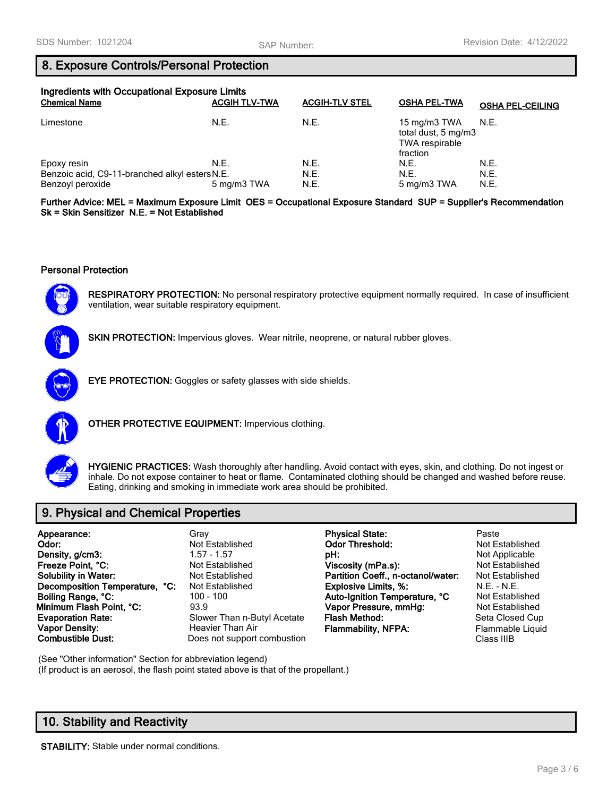### **8. Exposure Controls/Personal Protection**

| Ingredients with Occupational Exposure Limits<br><b>Chemical Name</b> | <b>ACGIH TLV-TWA</b> | <b>ACGIH-TLV STEL</b> | <b>OSHA PEL-TWA</b>                                                             | <b>OSHA PEL-CEILING</b> |
|-----------------------------------------------------------------------|----------------------|-----------------------|---------------------------------------------------------------------------------|-------------------------|
| Limestone                                                             | N.E.                 | N.E.                  | 15 mg/m3 TWA $N.E.$<br>total dust, 5 mg/m3<br><b>TWA</b> respirable<br>fraction |                         |
| Epoxy resin                                                           | N.E.                 | N.E.                  | N.E.                                                                            | N.E.                    |
| Benzoic acid, C9-11-branched alkyl esters N.E.                        |                      | N.E.                  | N.E.                                                                            | N.E.                    |
| Benzoyl peroxide                                                      | 5 mg/m3 TWA          | N.E.                  | 5 mg/m3 TWA                                                                     | N.E.                    |

**Further Advice: MEL = Maximum Exposure Limit OES = Occupational Exposure Standard SUP = Supplier's Recommendation Sk = Skin Sensitizer N.E. = Not Established**

### **Personal Protection**



**RESPIRATORY PROTECTION:** No personal respiratory protective equipment normally required. In case of insufficient ventilation, wear suitable respiratory equipment.



**SKIN PROTECTION:** Impervious gloves. Wear nitrile, neoprene, or natural rubber gloves.



**EYE PROTECTION:** Goggles or safety glasses with side shields.



**OTHER PROTECTIVE EQUIPMENT:** Impervious clothing.



**HYGIENIC PRACTICES:** Wash thoroughly after handling. Avoid contact with eyes, skin, and clothing. Do not ingest or inhale. Do not expose container to heat or flame. Contaminated clothing should be changed and washed before reuse. Eating, drinking and smoking in immediate work area should be prohibited.

# **9. Physical and Chemical Properties**

| Appearance:                    | Grav                        | <b>Physical State:</b>             | Paste                  |
|--------------------------------|-----------------------------|------------------------------------|------------------------|
| Odor:                          | Not Established             | <b>Odor Threshold:</b>             | <b>Not Established</b> |
| Density, g/cm3:                | $1.57 - 1.57$               | pH:                                | Not Applicable         |
| Freeze Point, °C:              | Not Established             | Viscosity (mPa.s):                 | <b>Not Established</b> |
| <b>Solubility in Water:</b>    | Not Established             | Partition Coeff., n-octanol/water: | <b>Not Established</b> |
| Decomposition Temperature, °C: | Not Established             | <b>Explosive Limits, %:</b>        | N.E. - N.E.            |
| Boiling Range, °C:             | 100 - 100                   | Auto-Ignition Temperature, °C      | Not Established        |
| Minimum Flash Point, °C:       | 93.9                        | Vapor Pressure, mmHg:              | Not Established        |
| <b>Evaporation Rate:</b>       | Slower Than n-Butyl Acetate | Flash Method:                      | Seta Closed Cup        |
| <b>Vapor Density:</b>          | Heavier Than Air            | <b>Flammability, NFPA:</b>         | Flammable Liqui        |
| <b>Combustible Dust:</b>       | Does not support combustion |                                    | Class IIIB             |

(See "Other information" Section for abbreviation legend) (If product is an aerosol, the flash point stated above is that of the propellant.)

# **10. Stability and Reactivity**

**STABILITY:** Stable under normal conditions.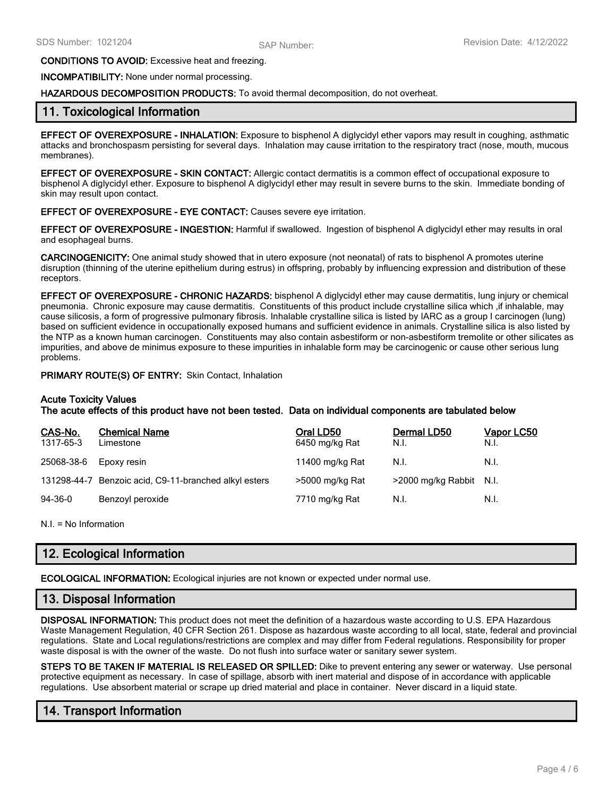#### **CONDITIONS TO AVOID:** Excessive heat and freezing.

**INCOMPATIBILITY:** None under normal processing.

#### **HAZARDOUS DECOMPOSITION PRODUCTS:** To avoid thermal decomposition, do not overheat.

### **11. Toxicological Information**

**EFFECT OF OVEREXPOSURE - INHALATION:** Exposure to bisphenol A diglycidyl ether vapors may result in coughing, asthmatic attacks and bronchospasm persisting for several days. Inhalation may cause irritation to the respiratory tract (nose, mouth, mucous membranes).

**EFFECT OF OVEREXPOSURE - SKIN CONTACT:** Allergic contact dermatitis is a common effect of occupational exposure to bisphenol A diglycidyl ether. Exposure to bisphenol A diglycidyl ether may result in severe burns to the skin. Immediate bonding of skin may result upon contact.

#### **EFFECT OF OVEREXPOSURE - EYE CONTACT:** Causes severe eye irritation.

**EFFECT OF OVEREXPOSURE - INGESTION:** Harmful if swallowed. Ingestion of bisphenol A diglycidyl ether may results in oral and esophageal burns.

**CARCINOGENICITY:** One animal study showed that in utero exposure (not neonatal) of rats to bisphenol A promotes uterine disruption (thinning of the uterine epithelium during estrus) in offspring, probably by influencing expression and distribution of these receptors.

**EFFECT OF OVEREXPOSURE - CHRONIC HAZARDS:** bisphenol A diglycidyl ether may cause dermatitis, lung injury or chemical pneumonia. Chronic exposure may cause dermatitis. Constituents of this product include crystalline silica which ,if inhalable, may cause silicosis, a form of progressive pulmonary fibrosis. Inhalable crystalline silica is listed by IARC as a group I carcinogen (lung) based on sufficient evidence in occupationally exposed humans and sufficient evidence in animals. Crystalline silica is also listed by the NTP as a known human carcinogen. Constituents may also contain asbestiform or non-asbestiform tremolite or other silicates as impurities, and above de minimus exposure to these impurities in inhalable form may be carcinogenic or cause other serious lung problems.

#### **PRIMARY ROUTE(S) OF ENTRY:** Skin Contact, Inhalation

### **Acute Toxicity Values**

**The acute effects of this product have not been tested. Data on individual components are tabulated below**

| CAS-No.<br>1317-65-3 | <b>Chemical Name</b><br>Limestone         | Oral LD50<br>6450 mg/kg Rat | Dermal LD50<br>N.I.     | <b>Vapor LC50</b><br>N.I. |
|----------------------|-------------------------------------------|-----------------------------|-------------------------|---------------------------|
| 25068-38-6           | Epoxy resin                               | 11400 mg/kg Rat             | N.I.                    | N.I.                      |
| 131298-44-7          | Benzoic acid, C9-11-branched alkyl esters | >5000 mg/kg Rat             | >2000 mg/kg Rabbit N.I. |                           |
| $94 - 36 - 0$        | Benzoyl peroxide                          | 7710 mg/kg Rat              | N.I.                    | N.I.                      |

N.I. = No Information

## **12. Ecological Information**

**ECOLOGICAL INFORMATION:** Ecological injuries are not known or expected under normal use.

### **13. Disposal Information**

**DISPOSAL INFORMATION:** This product does not meet the definition of a hazardous waste according to U.S. EPA Hazardous Waste Management Regulation, 40 CFR Section 261. Dispose as hazardous waste according to all local, state, federal and provincial regulations. State and Local regulations/restrictions are complex and may differ from Federal regulations. Responsibility for proper waste disposal is with the owner of the waste. Do not flush into surface water or sanitary sewer system.

**STEPS TO BE TAKEN IF MATERIAL IS RELEASED OR SPILLED:** Dike to prevent entering any sewer or waterway. Use personal protective equipment as necessary. In case of spillage, absorb with inert material and dispose of in accordance with applicable regulations. Use absorbent material or scrape up dried material and place in container. Never discard in a liquid state.

# **14. Transport Information**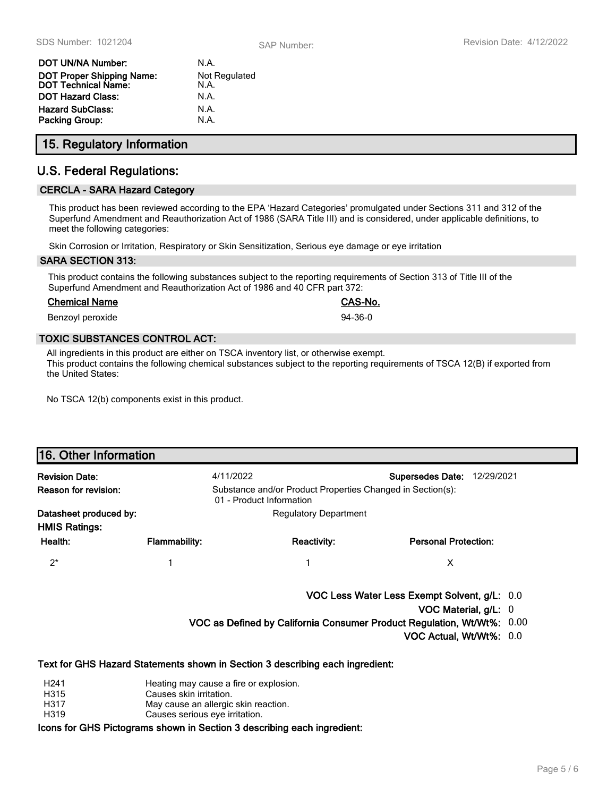| DOT UN/NA Number:                                              | N.A.                         |
|----------------------------------------------------------------|------------------------------|
| <b>DOT Proper Shipping Name:</b><br><b>DOT Technical Name:</b> | <b>Not Regulated</b><br>N.A. |
| <b>DOT Hazard Class:</b>                                       | N.A.                         |
| Hazard SubClass:<br>Packing Group:                             | N.A.<br>N.A.                 |
|                                                                |                              |

# **15. Regulatory Information**

## **U.S. Federal Regulations:**

### **CERCLA - SARA Hazard Category**

This product has been reviewed according to the EPA 'Hazard Categories' promulgated under Sections 311 and 312 of the Superfund Amendment and Reauthorization Act of 1986 (SARA Title III) and is considered, under applicable definitions, to meet the following categories:

Skin Corrosion or Irritation, Respiratory or Skin Sensitization, Serious eye damage or eye irritation

#### **SARA SECTION 313:**

This product contains the following substances subject to the reporting requirements of Section 313 of Title III of the Superfund Amendment and Reauthorization Act of 1986 and 40 CFR part 372:

#### **Chemical Name CAS-No.**

Benzoyl peroxide 34-36-0

### **TOXIC SUBSTANCES CONTROL ACT:**

All ingredients in this product are either on TSCA inventory list, or otherwise exempt. This product contains the following chemical substances subject to the reporting requirements of TSCA 12(B) if exported from the United States:

No TSCA 12(b) components exist in this product.

| 16. Other Information                          |                                                                                                                                             |                                                                               |                                                                        |  |
|------------------------------------------------|---------------------------------------------------------------------------------------------------------------------------------------------|-------------------------------------------------------------------------------|------------------------------------------------------------------------|--|
| <b>Revision Date:</b>                          | 4/11/2022                                                                                                                                   |                                                                               | <b>Supersedes Date:</b><br>12/29/2021                                  |  |
| Reason for revision:                           | Substance and/or Product Properties Changed in Section(s):<br>01 - Product Information                                                      |                                                                               |                                                                        |  |
| Datasheet produced by:<br><b>HMIS Ratings:</b> |                                                                                                                                             | <b>Regulatory Department</b>                                                  |                                                                        |  |
| Health:                                        | <b>Flammability:</b>                                                                                                                        | <b>Reactivity:</b>                                                            | <b>Personal Protection:</b>                                            |  |
| $2^*$                                          | 1                                                                                                                                           |                                                                               | X                                                                      |  |
|                                                |                                                                                                                                             |                                                                               | VOC Less Water Less Exempt Solvent, g/L: 0.0                           |  |
|                                                |                                                                                                                                             |                                                                               | VOC Material, g/L: 0                                                   |  |
|                                                |                                                                                                                                             |                                                                               | VOC as Defined by California Consumer Product Regulation, Wt/Wt%: 0.00 |  |
|                                                |                                                                                                                                             |                                                                               | VOC Actual, Wt/Wt%: 0.0                                                |  |
|                                                |                                                                                                                                             | Text for GHS Hazard Statements shown in Section 3 describing each ingredient: |                                                                        |  |
| H <sub>241</sub><br>H315<br>H317<br>H319       | Heating may cause a fire or explosion.<br>Causes skin irritation.<br>May cause an allergic skin reaction.<br>Causes serious eye irritation. |                                                                               |                                                                        |  |

**Icons for GHS Pictograms shown in Section 3 describing each ingredient:**